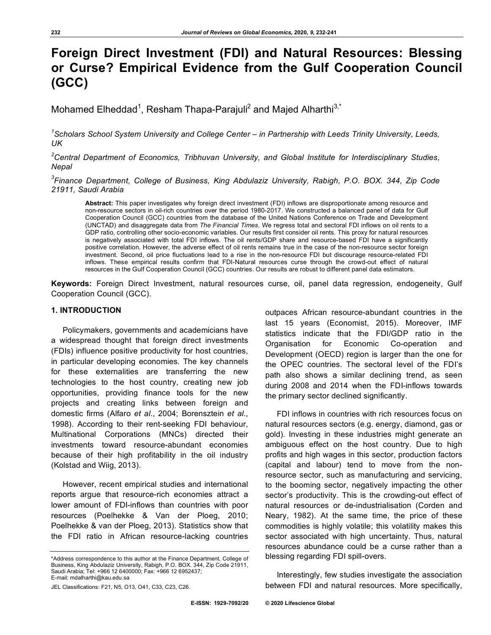# **Foreign Direct Investment (FDI) and Natural Resources: Blessing or Curse? Empirical Evidence from the Gulf Cooperation Council (GCC)**

Mohamed Elheddad<sup>1</sup>, Resham Thapa-Parajuli<sup>2</sup> and Majed Alharthi<sup>3,\*</sup>

<sup>1</sup> Scholars School System University and College Center – in Partnership with Leeds Trinity University, Leeds, *UK*

*2 Central Department of Economics, Tribhuvan University, and Global Institute for Interdisciplinary Studies, Nepal*

*3 Finance Department, College of Business, King Abdulaziz University, Rabigh, P.O. BOX. 344, Zip Code 21911, Saudi Arabia*

**Abstract:** This paper investigates why foreign direct investment (FDI) inflows are disproportionate among resource and non-resource sectors in oil-rich countries over the period 1980-2017. We constructed a balanced panel of data for Gulf Cooperation Council (GCC) countries from the database of the United Nations Conference on Trade and Development (UNCTAD) and disaggregate data from *The Financial Times*. We regress total and sectoral FDI inflows on oil rents to a GDP ratio, controlling other socio-economic variables. Our results first consider oil rents. This proxy for natural resources is negatively associated with total FDI inflows. The oil rents/GDP share and resource-based FDI have a significantly positive correlation. However, the adverse effect of oil rents remains true in the case of the non-resource sector foreign investment. Second, oil price fluctuations lead to a rise in the non-resource FDI but discourage resource-related FDI inflows. These empirical results confirm that FDI-Natural resources curse through the crowd-out effect of natural resources in the Gulf Cooperation Council (GCC) countries. Our results are robust to different panel data estimators.

**Keywords:** Foreign Direct Investment, natural resources curse, oil, panel data regression, endogeneity, Gulf Cooperation Council (GCC).

### **1. INTRODUCTION**

Policymakers, governments and academicians have a widespread thought that foreign direct investments (FDIs) influence positive productivity for host countries, in particular developing economies. The key channels for these externalities are transferring the new technologies to the host country, creating new job opportunities, providing finance tools for the new projects and creating links between foreign and domestic firms (Alfaro *et al*., 2004; Borensztein *et al*., 1998). According to their rent-seeking FDI behaviour, Multinational Corporations (MNCs) directed their investments toward resource-abundant economies because of their high profitability in the oil industry (Kolstad and Wiig, 2013).

However, recent empirical studies and international reports argue that resource-rich economies attract a lower amount of FDI-inflows than countries with poor resources (Poelhekke & Van der Ploeg, 2010; Poelhekke & van der Ploeg, 2013). Statistics show that the FDI ratio in African resource-lacking countries

outpaces African resource-abundant countries in the last 15 years (Economist, 2015). Moreover, IMF statistics indicate that the FDI/GDP ratio in the Organisation for Economic Co-operation and Development (OECD) region is larger than the one for the OPEC countries. The sectoral level of the FDI's path also shows a similar declining trend, as seen during 2008 and 2014 when the FDI-inflows towards the primary sector declined significantly.

FDI inflows in countries with rich resources focus on natural resources sectors (e.g. energy, diamond, gas or gold). Investing in these industries might generate an ambiguous effect on the host country. Due to high profits and high wages in this sector, production factors (capital and labour) tend to move from the nonresource sector, such as manufacturing and servicing, to the booming sector, negatively impacting the other sector's productivity. This is the crowding-out effect of natural resources or de-industrialisation (Corden and Neary, 1982). At the same time, the price of these commodities is highly volatile; this volatility makes this sector associated with high uncertainty. Thus, natural resources abundance could be a curse rather than a blessing regarding FDI spill-overs.

Interestingly, few studies investigate the association between FDI and natural resources. More specifically,

<sup>\*</sup>Address correspondence to this author at the Finance Department, College of Business, King Abdulaziz University, Rabigh, P.O. BOX. 344, Zip Code 21911, Saudi Arabia; Tel: +966 12 6400000; Fax: +966 12 6952437; E-mail: mdalharthi@kau.edu.sa

JEL Classifications: F21, N5, O13, O41, C33, C23, C26.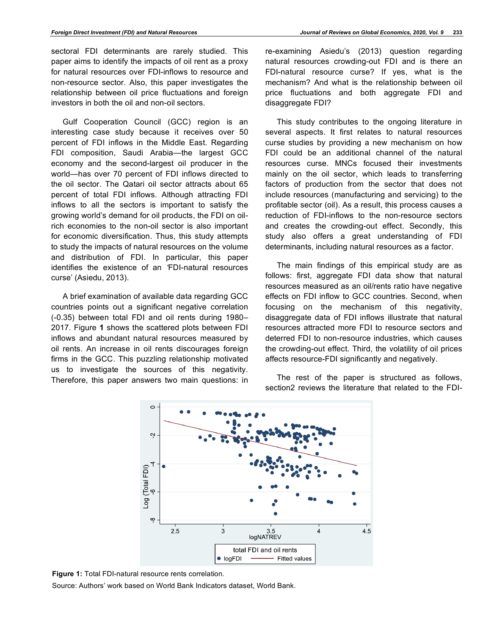sectoral FDI determinants are rarely studied. This paper aims to identify the impacts of oil rent as a proxy for natural resources over FDI-inflows to resource and non-resource sector. Also, this paper investigates the relationship between oil price fluctuations and foreign investors in both the oil and non-oil sectors.

Gulf Cooperation Council (GCC) region is an interesting case study because it receives over 50 percent of FDI inflows in the Middle East. Regarding FDI composition, Saudi Arabia—the largest GCC economy and the second-largest oil producer in the world—has over 70 percent of FDI inflows directed to the oil sector. The Qatari oil sector attracts about 65 percent of total FDI inflows. Although attracting FDI inflows to all the sectors is important to satisfy the growing world's demand for oil products, the FDI on oilrich economies to the non-oil sector is also important for economic diversification. Thus, this study attempts to study the impacts of natural resources on the volume and distribution of FDI. In particular, this paper identifies the existence of an *'*FDI-natural resources curse' (Asiedu, 2013).

A brief examination of available data regarding GCC countries points out a significant negative correlation (-0.35) between total FDI and oil rents during 1980– 2017. Figure **1** shows the scattered plots between FDI inflows and abundant natural resources measured by oil rents. An increase in oil rents discourages foreign firms in the GCC. This puzzling relationship motivated us to investigate the sources of this negativity. Therefore, this paper answers two main questions: in

re-examining Asiedu's (2013) question regarding natural resources crowding-out FDI and is there an FDI-natural resource curse? If yes, what is the mechanism? And what is the relationship between oil price fluctuations and both aggregate FDI and disaggregate FDI?

This study contributes to the ongoing literature in several aspects. It first relates to natural resources curse studies by providing a new mechanism on how FDI could be an additional channel of the natural resources curse. MNCs focused their investments mainly on the oil sector, which leads to transferring factors of production from the sector that does not include resources (manufacturing and servicing) to the profitable sector (oil). As a result, this process causes a reduction of FDI-inflows to the non-resource sectors and creates the crowding-out effect. Secondly, this study also offers a great understanding of FDI determinants, including natural resources as a factor.

The main findings of this empirical study are as follows: first, aggregate FDI data show that natural resources measured as an oil/rents ratio have negative effects on FDI inflow to GCC countries. Second, when focusing on the mechanism of this negativity, disaggregate data of FDI inflows illustrate that natural resources attracted more FDI to resource sectors and deterred FDI to non-resource industries, which causes the crowding-out effect. Third, the volatility of oil prices affects resource-FDI significantly and negatively.

The rest of the paper is structured as follows, section2 reviews the literature that related to the FDI-



**Figure 1:** Total FDI-natural resource rents correlation.

Source: Authors' work based on World Bank Indicators dataset, World Bank.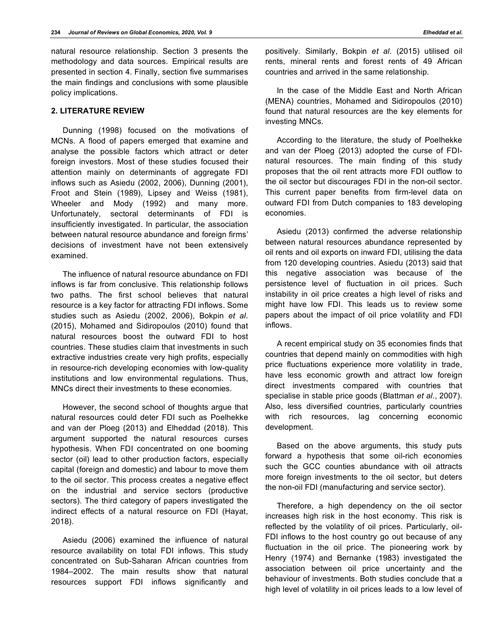natural resource relationship. Section 3 presents the methodology and data sources. Empirical results are presented in section 4. Finally, section five summarises the main findings and conclusions with some plausible policy implications.

# **2. LITERATURE REVIEW**

Dunning (1998) focused on the motivations of MCNs. A flood of papers emerged that examine and analyse the possible factors which attract or deter foreign investors. Most of these studies focused their attention mainly on determinants of aggregate FDI inflows such as Asiedu (2002, 2006), Dunning (2001), Froot and Stein (1989), Lipsey and Weiss (1981), Wheeler and Mody (1992) and many more. Unfortunately, sectoral determinants of FDI is insufficiently investigated. In particular, the association between natural resource abundance and foreign firms' decisions of investment have not been extensively examined.

The influence of natural resource abundance on FDI inflows is far from conclusive. This relationship follows two paths. The first school believes that natural resource is a key factor for attracting FDI inflows. Some studies such as Asiedu (2002, 2006), Bokpin *et al*. (2015), Mohamed and Sidiropoulos (2010) found that natural resources boost the outward FDI to host countries. These studies claim that investments in such extractive industries create very high profits, especially in resource-rich developing economies with low-quality institutions and low environmental regulations. Thus, MNCs direct their investments to these economies.

However, the second school of thoughts argue that natural resources could deter FDI such as Poelhekke and van der Ploeg (2013) and Elheddad (2018). This argument supported the natural resources curses hypothesis. When FDI concentrated on one booming sector (oil) lead to other production factors, especially capital (foreign and domestic) and labour to move them to the oil sector. This process creates a negative effect on the industrial and service sectors (productive sectors). The third category of papers investigated the indirect effects of a natural resource on FDI (Hayat, 2018).

Asiedu (2006) examined the influence of natural resource availability on total FDI inflows. This study concentrated on Sub-Saharan African countries from 1984–2002. The main results show that natural resources support FDI inflows significantly and positively. Similarly, Bokpin *et al*. (2015) utilised oil rents, mineral rents and forest rents of 49 African countries and arrived in the same relationship.

In the case of the Middle East and North African (MENA) countries, Mohamed and Sidiropoulos (2010) found that natural resources are the key elements for investing MNCs.

According to the literature, the study of Poelhekke and van der Ploeg (2013) adopted the curse of FDInatural resources. The main finding of this study proposes that the oil rent attracts more FDI outflow to the oil sector but discourages FDI in the non-oil sector. This current paper benefits from firm-level data on outward FDI from Dutch companies to 183 developing economies.

Asiedu (2013) confirmed the adverse relationship between natural resources abundance represented by oil rents and oil exports on inward FDI, utilising the data from 120 developing countries. Asiedu (2013) said that this negative association was because of the persistence level of fluctuation in oil prices. Such instability in oil price creates a high level of risks and might have low FDI. This leads us to review some papers about the impact of oil price volatility and FDI inflows.

A recent empirical study on 35 economies finds that countries that depend mainly on commodities with high price fluctuations experience more volatility in trade, have less economic growth and attract low foreign direct investments compared with countries that specialise in stable price goods (Blattman *et al*., 2007). Also, less diversified countries, particularly countries with rich resources, lag concerning economic development.

Based on the above arguments, this study puts forward a hypothesis that some oil-rich economies such the GCC counties abundance with oil attracts more foreign investments to the oil sector, but deters the non-oil FDI (manufacturing and service sector).

Therefore, a high dependency on the oil sector increases high risk in the host economy. This risk is reflected by the volatility of oil prices. Particularly, oil-FDI inflows to the host country go out because of any fluctuation in the oil price. The pioneering work by Henry (1974) and Bernanke (1983) investigated the association between oil price uncertainty and the behaviour of investments. Both studies conclude that a high level of volatility in oil prices leads to a low level of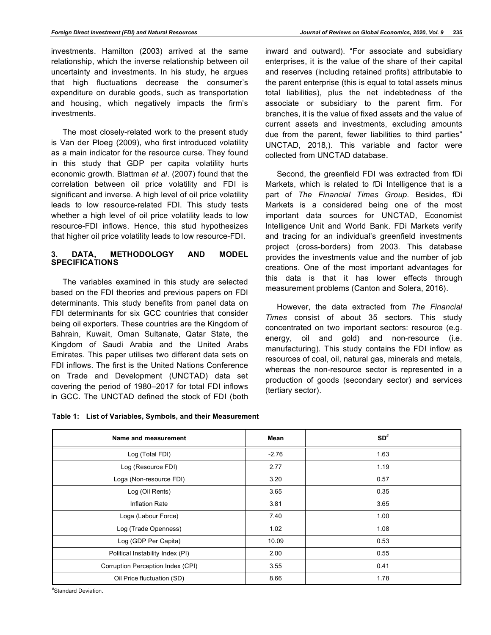investments. Hamilton (2003) arrived at the same relationship, which the inverse relationship between oil uncertainty and investments. In his study, he argues that high fluctuations decrease the consumer's expenditure on durable goods, such as transportation and housing, which negatively impacts the firm's investments.

The most closely-related work to the present study is Van der Ploeg (2009), who first introduced volatility as a main indicator for the resource curse. They found in this study that GDP per capita volatility hurts economic growth. Blattman *et al*. (2007) found that the correlation between oil price volatility and FDI is significant and inverse. A high level of oil price volatility leads to low resource-related FDI. This study tests whether a high level of oil price volatility leads to low resource-FDI inflows. Hence, this stud hypothesizes that higher oil price volatility leads to low resource-FDI.

# **3. DATA, METHODOLOGY AND MODEL SPECIFICATIONS**

The variables examined in this study are selected based on the FDI theories and previous papers on FDI determinants. This study benefits from panel data on FDI determinants for six GCC countries that consider being oil exporters. These countries are the Kingdom of Bahrain, Kuwait, Oman Sultanate, Qatar State, the Kingdom of Saudi Arabia and the United Arabs Emirates. This paper utilises two different data sets on FDI inflows. The first is the United Nations Conference on Trade and Development (UNCTAD) data set covering the period of 1980–2017 for total FDI inflows in GCC. The UNCTAD defined the stock of FDI (both inward and outward). "For associate and subsidiary enterprises, it is the value of the share of their capital and reserves (including retained profits) attributable to the parent enterprise (this is equal to total assets minus total liabilities), plus the net indebtedness of the associate or subsidiary to the parent firm. For branches, it is the value of fixed assets and the value of current assets and investments, excluding amounts due from the parent, fewer liabilities to third parties" UNCTAD, 2018,). This variable and factor were collected from UNCTAD database.

Second, the greenfield FDI was extracted from fDi Markets, which is related to fDi Intelligence that is a part of *The Financial Times Group*. Besides, fDi Markets is a considered being one of the most important data sources for UNCTAD, Economist Intelligence Unit and World Bank. FDi Markets verify and tracing for an individual's greenfield investments project (cross-borders) from 2003. This database provides the investments value and the number of job creations. One of the most important advantages for this data is that it has lower effects through measurement problems (Canton and Solera, 2016).

However, the data extracted from *The Financial Times* consist of about 35 sectors. This study concentrated on two important sectors: resource (e.g. energy, oil and gold) and non-resource (i.e. manufacturing). This study contains the FDI inflow as resources of coal, oil, natural gas, minerals and metals, whereas the non-resource sector is represented in a production of goods (secondary sector) and services (tertiary sector).

|  |  |  | Table 1: List of Variables, Symbols, and their Measurement |
|--|--|--|------------------------------------------------------------|
|--|--|--|------------------------------------------------------------|

| Name and measurement              | Mean    | $SD*$ |
|-----------------------------------|---------|-------|
| Log (Total FDI)                   | $-2.76$ | 1.63  |
| Log (Resource FDI)                | 2.77    | 1.19  |
| Loga (Non-resource FDI)           | 3.20    | 0.57  |
| Log (Oil Rents)                   | 3.65    | 0.35  |
| Inflation Rate                    | 3.81    | 3.65  |
| Loga (Labour Force)               | 7.40    | 1.00  |
| Log (Trade Openness)              | 1.02    | 1.08  |
| Log (GDP Per Capita)              | 10.09   | 0.53  |
| Political Instability Index (PI)  | 2.00    | 0.55  |
| Corruption Perception Index (CPI) | 3.55    | 0.41  |
| Oil Price fluctuation (SD)        | 8.66    | 1.78  |

# Standard Deviation.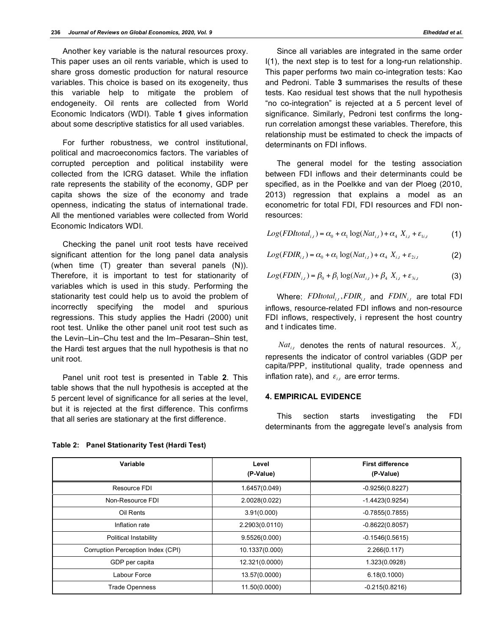Another key variable is the natural resources proxy. This paper uses an oil rents variable, which is used to share gross domestic production for natural resource variables. This choice is based on its exogeneity, thus this variable help to mitigate the problem of endogeneity. Oil rents are collected from World Economic Indicators (WDI). Table **1** gives information about some descriptive statistics for all used variables.

For further robustness, we control institutional, political and macroeconomics factors. The variables of corrupted perception and political instability were collected from the ICRG dataset. While the inflation rate represents the stability of the economy, GDP per capita shows the size of the economy and trade openness, indicating the status of international trade. All the mentioned variables were collected from World Economic Indicators WDI.

Checking the panel unit root tests have received significant attention for the long panel data analysis (when time (T) greater than several panels (N)). Therefore, it is important to test for stationarity of variables which is used in this study. Performing the stationarity test could help us to avoid the problem of incorrectly specifying the model and spurious regressions. This study applies the Hadri (2000) unit root test. Unlike the other panel unit root test such as the Levin–Lin–Chu test and the Im–Pesaran–Shin test, the Hardi test argues that the null hypothesis is that no unit root.

Panel unit root test is presented in Table **2**. This table shows that the null hypothesis is accepted at the 5 percent level of significance for all series at the level, but it is rejected at the first difference. This confirms that all series are stationary at the first difference.

Since all variables are integrated in the same order I(1), the next step is to test for a long-run relationship. This paper performs two main co-integration tests: Kao and Pedroni. Table **3** summarises the results of these tests. Kao residual test shows that the null hypothesis "no co-integration" is rejected at a 5 percent level of significance. Similarly, Pedroni test confirms the longrun correlation amongst these variables. Therefore, this relationship must be estimated to check the impacts of determinants on FDI inflows.

The general model for the testing association between FDI inflows and their determinants could be specified, as in the Poelkke and van der Ploeg (2010, 2013) regression that explains a model as an econometric for total FDI, FDI resources and FDI nonresources:

 $Log(FDItotal_{i,t}) = \alpha_0 + \alpha_1 \log(Nat_{i,t}) + \alpha_4 X_{i,t} + \varepsilon_{1i,t}$  (1)

$$
Log(FDIR_{i,t}) = \alpha_0 + \alpha_1 \log(Nat_{i,t}) + \alpha_4 X_{i,t} + \varepsilon_{2i,t}
$$
 (2)

$$
Log(FDIN_{i,t}) = \beta_0 + \beta_1 \log(Nat_{i,t}) + \beta_4 X_{i,t} + \varepsilon_{3i,t}
$$
 (3)

Where:  $FDItotal_{it}$ ,  $FDIR_{it}$  and  $FDIN_{it}$  are total FDI inflows, resource-related FDI inflows and non-resource FDI inflows, respectively, i represent the host country and t indicates time.

 $Nat<sub>it</sub>$  denotes the rents of natural resources.  $X<sub>it</sub>$ represents the indicator of control variables (GDP per capita/PPP, institutional quality, trade openness and inflation rate), and  $\varepsilon_{i,t}$  are error terms.

# **4. EMPIRICAL EVIDENCE**

This section starts investigating the FDI determinants from the aggregate level's analysis from

| Variable                          | Level<br><b>First difference</b><br>(P-Value)<br>(P-Value) |                   |
|-----------------------------------|------------------------------------------------------------|-------------------|
| Resource FDI                      | 1.6457(0.049)                                              | $-0.9256(0.8227)$ |
| Non-Resource FDI                  | 2.0028(0.022)                                              | $-1.4423(0.9254)$ |
| Oil Rents                         | 3.91(0.000)                                                | $-0.7855(0.7855)$ |
| Inflation rate                    | 2.2903(0.0110)                                             | $-0.8622(0.8057)$ |
| Political Instability             | 9.5526(0.000)                                              | $-0.1546(0.5615)$ |
| Corruption Perception Index (CPI) | 10.1337(0.000)                                             | 2.266(0.117)      |
| GDP per capita                    | 12.321(0.0000)                                             | 1.323(0.0928)     |
| Labour Force                      | 13.57(0.0000)                                              | 6.18(0.1000)      |
| <b>Trade Openness</b>             | 11.50(0.0000)                                              | $-0.215(0.8216)$  |

**Table 2: Panel Stationarity Test (Hardi Test)**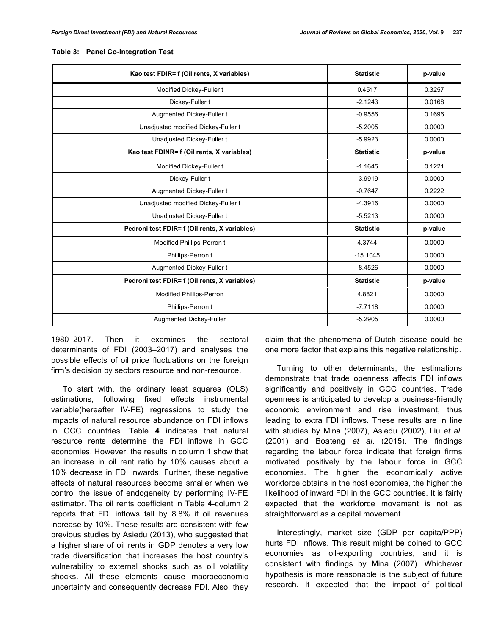| Kao test FDIR= f (Oil rents, X variables)     | <b>Statistic</b> | p-value |
|-----------------------------------------------|------------------|---------|
| Modified Dickey-Fuller t                      | 0.4517           | 0.3257  |
| Dickey-Fuller t                               | $-2.1243$        | 0.0168  |
| Augmented Dickey-Fuller t                     | $-0.9556$        | 0.1696  |
| Unadjusted modified Dickey-Fuller t           | $-5.2005$        | 0.0000  |
| Unadjusted Dickey-Fuller t                    | $-5.9923$        | 0.0000  |
| Kao test FDINR= f (Oil rents, X variables)    | <b>Statistic</b> | p-value |
| Modified Dickey-Fuller t                      | $-1.1645$        | 0.1221  |
| Dickey-Fuller t                               | $-3.9919$        | 0.0000  |
| Augmented Dickey-Fuller t                     | $-0.7647$        | 0.2222  |
| Unadjusted modified Dickey-Fuller t           | $-4.3916$        | 0.0000  |
| Unadjusted Dickey-Fuller t                    | $-5.5213$        | 0.0000  |
| Pedroni test FDIR= f (Oil rents, X variables) | <b>Statistic</b> | p-value |
| Modified Phillips-Perron t                    | 4.3744           | 0.0000  |
| Phillips-Perron t                             | $-15.1045$       | 0.0000  |
| Augmented Dickey-Fuller t                     | $-8.4526$        | 0.0000  |
| Pedroni test FDIR= f (Oil rents, X variables) | <b>Statistic</b> | p-value |
| Modified Phillips-Perron                      | 4.8821           | 0.0000  |
| Phillips-Perron t                             | $-7.7118$        | 0.0000  |
| Augmented Dickey-Fuller                       | $-5.2905$        | 0.0000  |

#### **Table 3: Panel Co-Integration Test**

1980–2017. Then it examines the sectoral determinants of FDI (2003–2017) and analyses the possible effects of oil price fluctuations on the foreign firm's decision by sectors resource and non-resource.

To start with, the ordinary least squares (OLS) estimations, following fixed effects instrumental variable(hereafter IV-FE) regressions to study the impacts of natural resource abundance on FDI inflows in GCC countries. Table **4** indicates that natural resource rents determine the FDI inflows in GCC economies. However, the results in column 1 show that an increase in oil rent ratio by 10% causes about a 10% decrease in FDI inwards. Further, these negative effects of natural resources become smaller when we control the issue of endogeneity by performing IV-FE estimator. The oil rents coefficient in Table **4**-column 2 reports that FDI inflows fall by 8.8% if oil revenues increase by 10%. These results are consistent with few previous studies by Asiedu (2013), who suggested that a higher share of oil rents in GDP denotes a very low trade diversification that increases the host country's vulnerability to external shocks such as oil volatility shocks. All these elements cause macroeconomic uncertainty and consequently decrease FDI. Also, they

claim that the phenomena of Dutch disease could be one more factor that explains this negative relationship.

Turning to other determinants, the estimations demonstrate that trade openness affects FDI inflows significantly and positively in GCC countries. Trade openness is anticipated to develop a business-friendly economic environment and rise investment, thus leading to extra FDI inflows. These results are in line with studies by Mina (2007), Asiedu (2002), Liu *et al*. (2001) and Boateng *et al*. (2015). The findings regarding the labour force indicate that foreign firms motivated positively by the labour force in GCC economies. The higher the economically active workforce obtains in the host economies, the higher the likelihood of inward FDI in the GCC countries. It is fairly expected that the workforce movement is not as straightforward as a capital movement.

Interestingly, market size (GDP per capita/PPP) hurts FDI inflows. This result might be coined to GCC economies as oil-exporting countries, and it is consistent with findings by Mina (2007). Whichever hypothesis is more reasonable is the subject of future research. It expected that the impact of political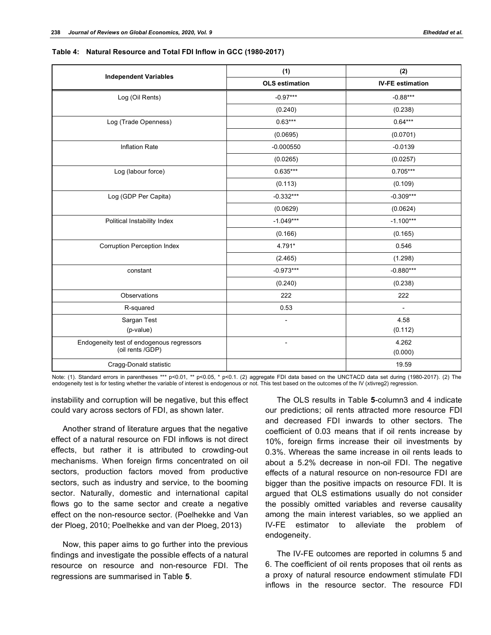|                                                               | (1)                      | (2)                      |
|---------------------------------------------------------------|--------------------------|--------------------------|
| <b>Independent Variables</b>                                  | <b>OLS</b> estimation    | <b>IV-FE estimation</b>  |
| Log (Oil Rents)                                               | $-0.97***$               | $-0.88***$               |
|                                                               | (0.240)                  | (0.238)                  |
| Log (Trade Openness)                                          | $0.63***$                | $0.64***$                |
|                                                               | (0.0695)                 | (0.0701)                 |
| <b>Inflation Rate</b>                                         | $-0.000550$              | $-0.0139$                |
|                                                               | (0.0265)                 | (0.0257)                 |
| Log (labour force)                                            | $0.635***$               | $0.705***$               |
|                                                               | (0.113)                  | (0.109)                  |
| Log (GDP Per Capita)                                          | $-0.332***$              | $-0.309***$              |
|                                                               | (0.0629)                 | (0.0624)                 |
| Political Instability Index                                   | $-1.049***$              | $-1.100***$              |
|                                                               | (0.166)                  | (0.165)                  |
| <b>Corruption Perception Index</b>                            | 4.791*                   | 0.546                    |
|                                                               | (2.465)                  | (1.298)                  |
| constant                                                      | $-0.973***$              | $-0.880***$              |
|                                                               | (0.240)                  | (0.238)                  |
| Observations                                                  | 222                      | 222                      |
| R-squared                                                     | 0.53                     | $\overline{\phantom{a}}$ |
| Sargan Test                                                   | $\overline{\phantom{a}}$ | 4.58                     |
| (p-value)                                                     |                          | (0.112)                  |
| Endogeneity test of endogenous regressors<br>(oil rents /GDP) | $\overline{\phantom{a}}$ | 4.262                    |
|                                                               |                          | (0.000)                  |
| Cragg-Donald statistic                                        |                          | 19.59                    |

**Table 4: Natural Resource and Total FDI Inflow in GCC (1980-2017)**

Note: (1). Standard errors in parentheses \*\*\* p<0.01, \*\* p<0.05, \* p<0.1. (2) aggregate FDI data based on the UNCTACD data set during (1980-2017). (2) The<br>endogeneity test is for testing whether the variable of interest is

instability and corruption will be negative, but this effect could vary across sectors of FDI, as shown later.

Another strand of literature argues that the negative effect of a natural resource on FDI inflows is not direct effects, but rather it is attributed to crowding-out mechanisms. When foreign firms concentrated on oil sectors, production factors moved from productive sectors, such as industry and service, to the booming sector. Naturally, domestic and international capital flows go to the same sector and create a negative effect on the non-resource sector. (Poelhekke and Van der Ploeg, 2010; Poelhekke and van der Ploeg, 2013)

Now, this paper aims to go further into the previous findings and investigate the possible effects of a natural resource on resource and non-resource FDI. The regressions are summarised in Table **5**.

The OLS results in Table **5**-column3 and 4 indicate our predictions; oil rents attracted more resource FDI and decreased FDI inwards to other sectors. The coefficient of 0.03 means that if oil rents increase by 10%, foreign firms increase their oil investments by 0.3%. Whereas the same increase in oil rents leads to about a 5.2% decrease in non-oil FDI. The negative effects of a natural resource on non-resource FDI are bigger than the positive impacts on resource FDI. It is argued that OLS estimations usually do not consider the possibly omitted variables and reverse causality among the main interest variables, so we applied an IV-FE estimator to alleviate the problem of endogeneity.

The IV-FE outcomes are reported in columns 5 and 6. The coefficient of oil rents proposes that oil rents as a proxy of natural resource endowment stimulate FDI inflows in the resource sector. The resource FDI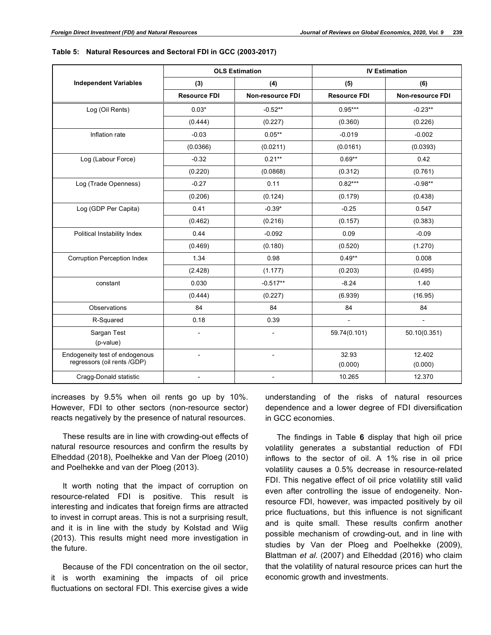|                                                               | <b>OLS Estimation</b>    |                          | <b>IV Estimation</b> |                   |
|---------------------------------------------------------------|--------------------------|--------------------------|----------------------|-------------------|
| <b>Independent Variables</b>                                  | (3)                      | (4)                      | (5)                  | (6)               |
|                                                               | <b>Resource FDI</b>      | <b>Non-resource FDI</b>  | <b>Resource FDI</b>  | Non-resource FDI  |
| Log (Oil Rents)                                               | $0.03*$                  | $-0.52**$                | $0.95***$            | $-0.23**$         |
|                                                               | (0.444)                  | (0.227)                  | (0.360)              | (0.226)           |
| Inflation rate                                                | $-0.03$                  | $0.05**$                 | $-0.019$             | $-0.002$          |
|                                                               | (0.0366)                 | (0.0211)                 | (0.0161)             | (0.0393)          |
| Log (Labour Force)                                            | $-0.32$                  | $0.21**$                 | $0.69**$             | 0.42              |
|                                                               | (0.220)                  | (0.0868)                 | (0.312)              | (0.761)           |
| Log (Trade Openness)                                          | $-0.27$                  | 0.11                     | $0.82***$            | $-0.98**$         |
|                                                               | (0.206)                  | (0.124)                  | (0.179)              | (0.438)           |
| Log (GDP Per Capita)                                          | 0.41                     | $-0.39*$                 | $-0.25$              | 0.547             |
|                                                               | (0.462)                  | (0.216)                  | (0.157)              | (0.383)           |
| Political Instability Index                                   | 0.44                     | $-0.092$                 | 0.09                 | $-0.09$           |
|                                                               | (0.469)                  | (0.180)                  | (0.520)              | (1.270)           |
| Corruption Perception Index                                   | 1.34                     | 0.98                     | $0.49**$             | 0.008             |
|                                                               | (2.428)                  | (1.177)                  | (0.203)              | (0.495)           |
| constant                                                      | 0.030                    | $-0.517**$               | $-8.24$              | 1.40              |
|                                                               | (0.444)                  | (0.227)                  | (6.939)              | (16.95)           |
| Observations                                                  | 84                       | 84                       | 84                   | 84                |
| R-Squared                                                     | 0.18                     | 0.39                     | $\overline{a}$       | $\overline{a}$    |
| Sargan Test<br>(p-value)                                      | $\overline{\phantom{a}}$ | $\overline{\phantom{m}}$ | 59.74(0.101)         | 50.10(0.351)      |
| Endogeneity test of endogenous<br>regressors (oil rents /GDP) |                          |                          | 32.93<br>(0.000)     | 12.402<br>(0.000) |

Cragg-Donald statistic and the statistic of the statistic of the statistic contract of the statistic of the statistic of the statistic of the statistic of the statistic of the statistic of the statistic of the statistic of

| Table 5: Natural Resources and Sectoral FDI in GCC (2003-2017) |  |
|----------------------------------------------------------------|--|
|----------------------------------------------------------------|--|

increases by 9.5% when oil rents go up by 10%. However, FDI to other sectors (non-resource sector) reacts negatively by the presence of natural resources.

These results are in line with crowding-out effects of natural resource resources and confirm the results by Elheddad (2018), Poelhekke and Van der Ploeg (2010) and Poelhekke and van der Ploeg (2013).

It worth noting that the impact of corruption on resource-related FDI is positive. This result is interesting and indicates that foreign firms are attracted to invest in corrupt areas. This is not a surprising result, and it is in line with the study by Kolstad and Wiig (2013). This results might need more investigation in the future.

Because of the FDI concentration on the oil sector, it is worth examining the impacts of oil price fluctuations on sectoral FDI. This exercise gives a wide

understanding of the risks of natural resources dependence and a lower degree of FDI diversification in GCC economies.

The findings in Table **6** display that high oil price volatility generates a substantial reduction of FDI inflows to the sector of oil. A 1% rise in oil price volatility causes a 0.5% decrease in resource-related FDI. This negative effect of oil price volatility still valid even after controlling the issue of endogeneity. Nonresource FDI, however, was impacted positively by oil price fluctuations, but this influence is not significant and is quite small. These results confirm another possible mechanism of crowding-out, and in line with studies by Van der Ploeg and Poelhekke (2009), Blattman *et al*. (2007) and Elheddad (2016) who claim that the volatility of natural resource prices can hurt the economic growth and investments.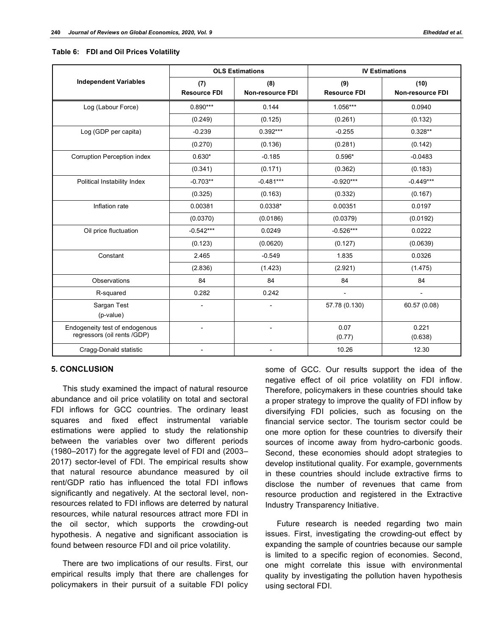|  |  | Table 6: FDI and Oil Prices Volatility |  |
|--|--|----------------------------------------|--|
|--|--|----------------------------------------|--|

|                                                               | <b>OLS Estimations</b> |                         | <b>IV Estimations</b> |                         |
|---------------------------------------------------------------|------------------------|-------------------------|-----------------------|-------------------------|
| <b>Independent Variables</b>                                  | (7)                    | (8)                     | (9)                   | (10)                    |
|                                                               | <b>Resource FDI</b>    | <b>Non-resource FDI</b> | <b>Resource FDI</b>   | <b>Non-resource FDI</b> |
| Log (Labour Force)                                            | $0.890***$             | 0.144                   | 1.056***              | 0.0940                  |
|                                                               | (0.249)                | (0.125)                 | (0.261)               | (0.132)                 |
| Log (GDP per capita)                                          | $-0.239$               | $0.392***$              | $-0.255$              | $0.328**$               |
|                                                               | (0.270)                | (0.136)                 | (0.281)               | (0.142)                 |
| Corruption Perception index                                   | $0.630*$               | $-0.185$                | $0.596*$              | $-0.0483$               |
|                                                               | (0.341)                | (0.171)                 | (0.362)               | (0.183)                 |
| Political Instability Index                                   | $-0.703**$             | $-0.481***$             | $-0.920***$           | $-0.449***$             |
|                                                               | (0.325)                | (0.163)                 | (0.332)               | (0.167)                 |
| Inflation rate                                                | 0.00381                | $0.0338*$               | 0.00351               | 0.0197                  |
|                                                               | (0.0370)               | (0.0186)                | (0.0379)              | (0.0192)                |
| Oil price fluctuation                                         | $-0.542***$            | 0.0249                  | $-0.526***$           | 0.0222                  |
|                                                               | (0.123)                | (0.0620)                | (0.127)               | (0.0639)                |
| Constant                                                      | 2.465                  | $-0.549$                | 1.835                 | 0.0326                  |
|                                                               | (2.836)                | (1.423)                 | (2.921)               | (1.475)                 |
| Observations                                                  | 84                     | 84                      | 84                    | 84                      |
| R-squared                                                     | 0.282                  | 0.242                   | $\overline{a}$        | $\overline{a}$          |
| Sargan Test<br>(p-value)                                      | $\overline{a}$         | $\overline{a}$          | 57.78 (0.130)         | 60.57 (0.08)            |
| Endogeneity test of endogenous<br>regressors (oil rents /GDP) | $\overline{a}$         | $\overline{a}$          | 0.07<br>(0.77)        | 0.221<br>(0.638)        |
| Cragg-Donald statistic                                        |                        |                         | 10.26                 | 12.30                   |

## **5. CONCLUSION**

This study examined the impact of natural resource abundance and oil price volatility on total and sectoral FDI inflows for GCC countries. The ordinary least squares and fixed effect instrumental variable estimations were applied to study the relationship between the variables over two different periods (1980–2017) for the aggregate level of FDI and (2003– 2017) sector-level of FDI. The empirical results show that natural resource abundance measured by oil rent/GDP ratio has influenced the total FDI inflows significantly and negatively. At the sectoral level, nonresources related to FDI inflows are deterred by natural resources, while natural resources attract more FDI in the oil sector, which supports the crowding-out hypothesis. A negative and significant association is found between resource FDI and oil price volatility.

There are two implications of our results. First, our empirical results imply that there are challenges for policymakers in their pursuit of a suitable FDI policy

some of GCC. Our results support the idea of the negative effect of oil price volatility on FDI inflow. Therefore, policymakers in these countries should take a proper strategy to improve the quality of FDI inflow by diversifying FDI policies, such as focusing on the financial service sector. The tourism sector could be one more option for these countries to diversify their sources of income away from hydro-carbonic goods. Second, these economies should adopt strategies to develop institutional quality. For example, governments in these countries should include extractive firms to disclose the number of revenues that came from resource production and registered in the Extractive Industry Transparency Initiative.

Future research is needed regarding two main issues. First, investigating the crowding-out effect by expanding the sample of countries because our sample is limited to a specific region of economies. Second, one might correlate this issue with environmental quality by investigating the pollution haven hypothesis using sectoral FDI.